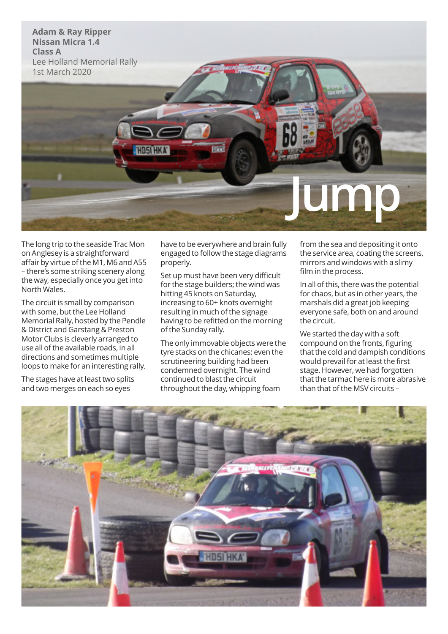

The long trip to the seaside Trac Mon on Anglesey is a straightforward affair by virtue of the M1, M6 and A55 – there's some striking scenery along the way, especially once you get into North Wales.

The circuit is small by comparison with some, but the Lee Holland Memorial Rally, hosted by the Pendle & District and Garstang & Preston Motor Clubs is cleverly arranged to use all of the available roads, in all directions and sometimes multiple loops to make for an interesting rally.

The stages have at least two splits and two merges on each so eyes

have to be everywhere and brain fully engaged to follow the stage diagrams properly.

Set up must have been very difficult for the stage builders; the wind was hitting 45 knots on Saturday, increasing to 60+ knots overnight resulting in much of the signage having to be refitted on the morning of the Sunday rally.

The only immovable objects were the tyre stacks on the chicanes; even the scrutineering building had been condemned overnight. The wind continued to blast the circuit throughout the day, whipping foam

from the sea and depositing it onto the service area, coating the screens, mirrors and windows with a slimy film in the process.

In all of this, there was the potential for chaos, but as in other years, the marshals did a great job keeping everyone safe, both on and around the circuit.

We started the day with a soft compound on the fronts, figuring that the cold and dampish conditions would prevail for at least the first stage. However, we had forgotten that the tarmac here is more abrasive than that of the MSV circuits –